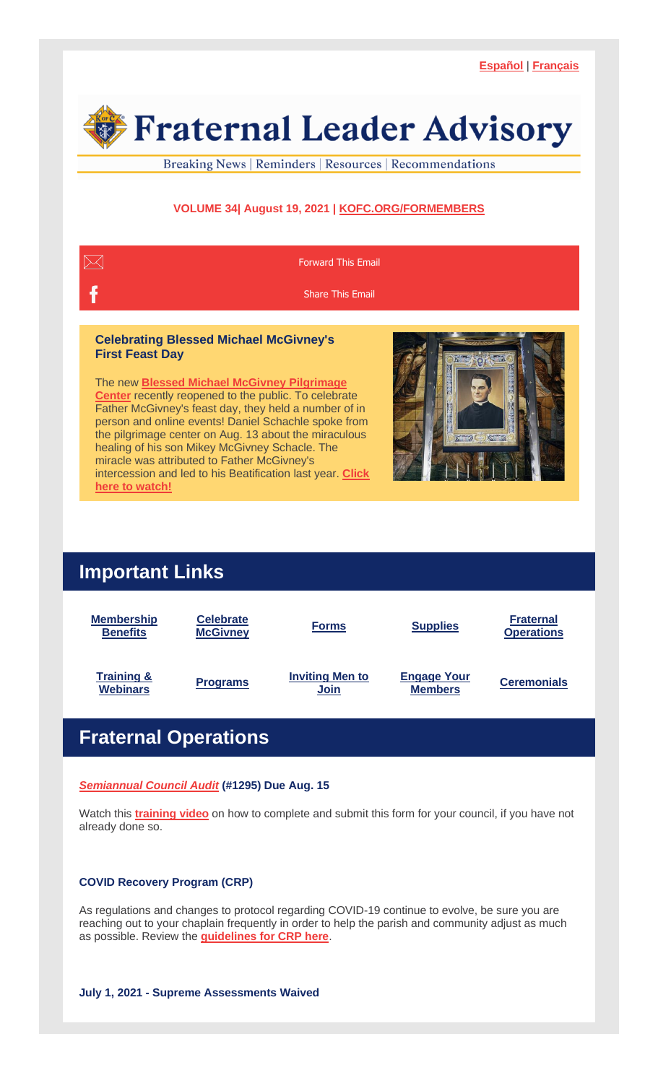

Breaking News | Reminders | Resources | Recommendations

## **VOLUME 34| August 19, 2021 | [KOFC.ORG/FORMEMBERS](https://r20.rs6.net/tn.jsp?f=001YcihzXkKr4R3Pb79yRD8cfQEmsTnr4P-Jf_OR0B1AJzEz53nd9I_ztn4OOUJVwY4oz7vjg3W6js-FZblmZRpYRnydRFCLNR8R1nvnF_Qh-Dkcef0XRTAIS37rjly4wgSl3bzhn7ujBOv0dKYyblUI0jvbic93rTLOpwQVBWqILi57cgCI-KqZvyT1KmB0eD86uR_Hct34zlgCVw-r5P9aiWWVxowdKwvnAM51KqPeXMvnKC28mkWten75NEF-0Vq0fclG0mD3w38s89SJB4XOnAz6jVZwPsYIU7GlS_h0LtvCv-uFY3tZw==&c=KsBErzZQGDCV07EtfPt3JP5mTqYMqMVSjF7cM7eDl4tbOt8f0-Iw7g==&ch=s_ukVPszYcPqoqbTBQ-xNY6gNA8fls5Au3HCet4EmoFi9zFS5sJROw==)**



Father McGivney's feast day, they held a number of in person and online events! Daniel Schachle spoke from the pilgrimage center on Aug. 13 about the miraculous healing of his son Mikey McGivney Schacle. The miracle was attributed to Father McGivney's intercession and led to his Beatification last year. **[Click](https://r20.rs6.net/tn.jsp?f=001YcihzXkKr4R3Pb79yRD8cfQEmsTnr4P-Jf_OR0B1AJzEz53nd9I_zhwMcP5J1_0ksBGPkIptl3pHbIAycM1pbVUEt2NfXZPQj9UFz658IBCJjuHnG1ytwdVGgvA2pHKjwLxrogxh9XzS7fjpJpypu-lNTzE-7DSuanN2lFOWDAkZwtxs_3z28c5JR4oWVkwoS2Gat2o3EEc2oiAYaq0nJ2cpXK6L1KzlhywnZ6Ihvi2OsE2FSMnhnudRb7OId_68GHKVjqrD6seQBXuj1a6_TonoUyUSHmbHS_1HumDH-Ds=&c=KsBErzZQGDCV07EtfPt3JP5mTqYMqMVSjF7cM7eDl4tbOt8f0-Iw7g==&ch=s_ukVPszYcPqoqbTBQ-xNY6gNA8fls5Au3HCet4EmoFi9zFS5sJROw==) here to [watch!](https://r20.rs6.net/tn.jsp?f=001YcihzXkKr4R3Pb79yRD8cfQEmsTnr4P-Jf_OR0B1AJzEz53nd9I_zhwMcP5J1_0ksBGPkIptl3pHbIAycM1pbVUEt2NfXZPQj9UFz658IBCJjuHnG1ytwdVGgvA2pHKjwLxrogxh9XzS7fjpJpypu-lNTzE-7DSuanN2lFOWDAkZwtxs_3z28c5JR4oWVkwoS2Gat2o3EEc2oiAYaq0nJ2cpXK6L1KzlhywnZ6Ihvi2OsE2FSMnhnudRb7OId_68GHKVjqrD6seQBXuj1a6_TonoUyUSHmbHS_1HumDH-Ds=&c=KsBErzZQGDCV07EtfPt3JP5mTqYMqMVSjF7cM7eDl4tbOt8f0-Iw7g==&ch=s_ukVPszYcPqoqbTBQ-xNY6gNA8fls5Au3HCet4EmoFi9zFS5sJROw==)**



# **Important Links**



# **Fraternal Operations**

*[Semiannual](https://r20.rs6.net/tn.jsp?f=001YcihzXkKr4R3Pb79yRD8cfQEmsTnr4P-Jf_OR0B1AJzEz53nd9I_zvqTRNaSc-Bxfmhfr_jaaczJ1sgqBRIclV2rXIhQLROD-e77lhy49yhSch8hRD2hGu3VkRsmTQrou-DVrkJwh4E0YV47kYhv95XdFybCF0h8R_BTd5LcTaxdmWizocjkPKYVDDGBPL5Qhy4sBSXVYUJmjw2b8sulwSEDNeaNpTg0iPAJUvvE7fmXsqO3DAQeOnKpxWlm6oyRcoJcoegbP6-W0g4fu1GQJvTtvFcpZPlyHVafh_6ljrw1RDdPQUOq-3HyrVtRZo7v&c=KsBErzZQGDCV07EtfPt3JP5mTqYMqMVSjF7cM7eDl4tbOt8f0-Iw7g==&ch=s_ukVPszYcPqoqbTBQ-xNY6gNA8fls5Au3HCet4EmoFi9zFS5sJROw==) Council Audit* **(#1295) Due Aug. 15**

Watch this **[training](https://r20.rs6.net/tn.jsp?f=001YcihzXkKr4R3Pb79yRD8cfQEmsTnr4P-Jf_OR0B1AJzEz53nd9I_zvkKU1PqH6GF4dn1hOgrvkZjVgavhCXGxncklCgbH6IO4-Br-vb_TDIYBqj2aNIfdeZ7a53pIs3DjWHvGYUnIqt2a6cuEzgk_QbFeO3_WCWWW2nwFi464KbiQ0Nt8Py4DvriTNyuzkx7M26GwsFcGBY23w6grWv95L1O3HK-F14uyO6jBS6FlKthI-0SpnyZKLHpUB8jAB7gpvxsvLqCtFw_nKXY60GkbxR41XVO64mTY7r5oFGq_nQvIpvuYwfhgw==&c=KsBErzZQGDCV07EtfPt3JP5mTqYMqMVSjF7cM7eDl4tbOt8f0-Iw7g==&ch=s_ukVPszYcPqoqbTBQ-xNY6gNA8fls5Au3HCet4EmoFi9zFS5sJROw==) video** on how to complete and submit this form for your council, if you have not already done so.

## **COVID Recovery Program (CRP)**

As regulations and changes to protocol regarding COVID-19 continue to evolve, be sure you are reaching out to your chaplain frequently in order to help the parish and community adjust as much as possible. Review the **[guidelines](https://r20.rs6.net/tn.jsp?f=001YcihzXkKr4R3Pb79yRD8cfQEmsTnr4P-Jf_OR0B1AJzEz53nd9I_zstW-ixoYvvTpogVyvh9bSNGV070zR0GBtY7FsS_qoVkzZ2-EfR_BdP25NaEH-5oMy7_a0KskVKuta_QexAALPzF19g-ETgd05jg9qjFOjNFMUhhQ183NUnYMT52Sp9haN9nZyd3HMJWP0MCsSWtaqN_C9evTyDVvBujGM95IAFj97-ocO996P3PS7k0f5cYSvbxzA5C0iiYAiDI_kyreZ_-FxlANigCiQLRaLRclAp9cHJEe4s12UdfnVi0cEJrS3FZfZ1NLpMT_1twm9VgyKWnZk5u7-qdhasnXKaf0V_dbTLlHtiC5zc=&c=KsBErzZQGDCV07EtfPt3JP5mTqYMqMVSjF7cM7eDl4tbOt8f0-Iw7g==&ch=s_ukVPszYcPqoqbTBQ-xNY6gNA8fls5Au3HCet4EmoFi9zFS5sJROw==) for CRP here**.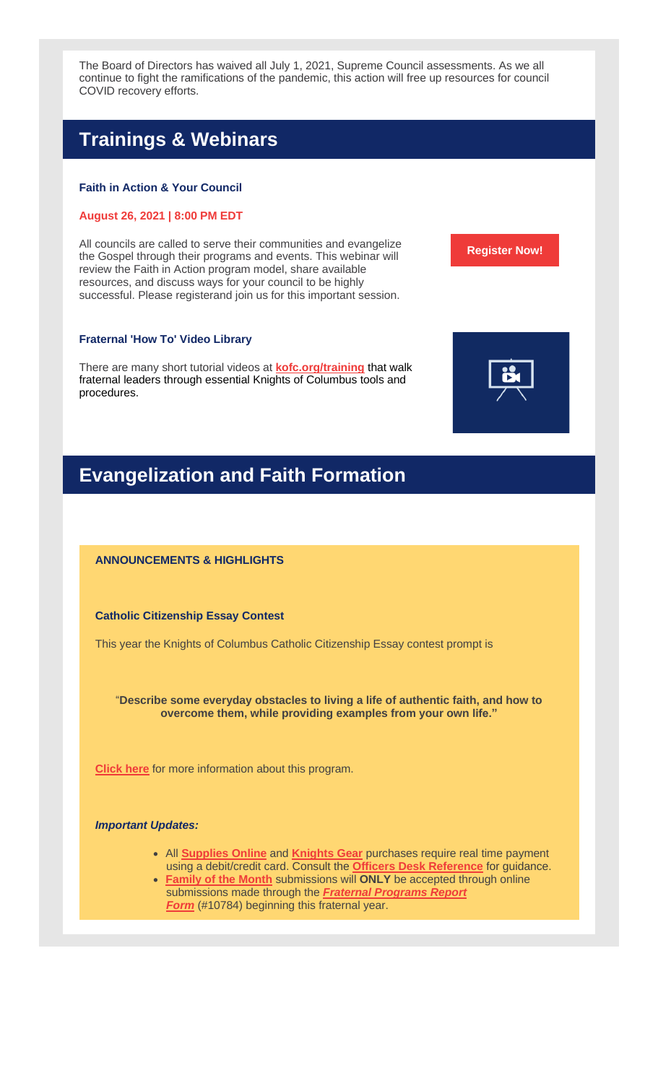The Board of Directors has waived all July 1, 2021, Supreme Council assessments. As we all continue to fight the ramifications of the pandemic, this action will free up resources for council COVID recovery efforts.

# **Trainings & Webinars**

## **Faith in Action & Your Council**

## **August 26, 2021 | 8:00 PM EDT**

All councils are called to serve their communities and evangelize the Gospel through their programs and events. This webinar will review the Faith in Action program model, share available resources, and discuss ways for your council to be highly successful. Please registerand join us for this important session.

## **Fraternal 'How To' Video Library**

There are many short tutorial videos at **[kofc.org/training](https://r20.rs6.net/tn.jsp?f=001YcihzXkKr4R3Pb79yRD8cfQEmsTnr4P-Jf_OR0B1AJzEz53nd9I_zvqTRNaSc-BxFUv-0kN5BAP23Zd-2TNOz-xl1YMkhkPIex3g9O3tABAyHmwf9dPieAzu5-PVpYeO7cOwC1UoZ0vVK1LP_uW3GiU3kpIliOryZpaMeNyD0lnWiemmkguHHbBRHi30T45BsDGsliaTH6_jdffKhiZ8y2LdSuj4LgCfWaKMt4rmEngS1Bh7qmBJ4-XcG1RUwEV1TNHNPpMikL1HBa8vS0kQDaDhHRFsxAlGX7Ybin2sVYU2fblCZhromDq-KDNfUPjD&c=KsBErzZQGDCV07EtfPt3JP5mTqYMqMVSjF7cM7eDl4tbOt8f0-Iw7g==&ch=s_ukVPszYcPqoqbTBQ-xNY6gNA8fls5Au3HCet4EmoFi9zFS5sJROw==)** that walk fraternal leaders through essential Knights of Columbus tools and procedures.

## **Evangelization and Faith Formation**

## **ANNOUNCEMENTS & HIGHLIGHTS**

**Catholic Citizenship Essay Contest**

This year the Knights of Columbus Catholic Citizenship Essay contest prompt is

"**Describe some everyday obstacles to living a life of authentic faith, and how to overcome them, while providing examples from your own life."**

**[Click](https://r20.rs6.net/tn.jsp?f=001YcihzXkKr4R3Pb79yRD8cfQEmsTnr4P-Jf_OR0B1AJzEz53nd9I_zuv2ioKERdi6EnzPmIGJItzJ4omByFdmja7TidwrFp8hXtAGJwLFTZm-FdvFxk87NrZQrt3XsP1vJWWqGW-_3KEKdHXSLZXJaHZDrHQ4uZaehkz8F0YrWuj7NsVG5mpLBHkKIjnNjsYK5DtukN-kZ0jFkvrlf7nLi3_CEhN7Gd6KwLbrQiU5ufxM7FGjRU7T_bxdI7rdjW9P506WYXQ24Jnu__O9-V_jgY5CeJlZTz6iYPkUmXlKt_qHgvVUqcG9NsJk8jIruo4ra77yf62ksC0m9vtDFHG05n2oc6-7bkNEOoxAZFQCd_IwwUj7_s8Hwg==&c=KsBErzZQGDCV07EtfPt3JP5mTqYMqMVSjF7cM7eDl4tbOt8f0-Iw7g==&ch=s_ukVPszYcPqoqbTBQ-xNY6gNA8fls5Au3HCet4EmoFi9zFS5sJROw==) here** for more information about this program.

#### *Important Updates:*

- All **[Supplies](https://r20.rs6.net/tn.jsp?f=001YcihzXkKr4R3Pb79yRD8cfQEmsTnr4P-Jf_OR0B1AJzEz53nd9I_znYjsRCiFPQXThNumrrH61dOgx-yqVbASwwH5HY71zD2IuTBELre7fkhx2a_3iCQYUv2ZT1ykmJdlLqvUV8u5W_mI43Alst5SCmGCdfk3X39yG_Nf6N8lKjE6izmOflKPixdrSw5Af1Pa8P8YMsSOlhTBgTFN3CaeiJsDw3uViI8I9PFEOj6KgnuykQXFeBbcxDIAYuH0anfvBRhpiABu-j0K9isP-LdjH6rfGjBPXIxi9846FfD_XAzgiONjiv-d7Qsy6lxPVaQ&c=KsBErzZQGDCV07EtfPt3JP5mTqYMqMVSjF7cM7eDl4tbOt8f0-Iw7g==&ch=s_ukVPszYcPqoqbTBQ-xNY6gNA8fls5Au3HCet4EmoFi9zFS5sJROw==) Online** and **[Knights](https://r20.rs6.net/tn.jsp?f=001YcihzXkKr4R3Pb79yRD8cfQEmsTnr4P-Jf_OR0B1AJzEz53nd9I_zoeP7RCOTUPTkvo0M4AQXrbm_zPESc43mj_3CTGxglmEpu--0NASXQ2E86r_Z-jKu7ri4uILCky2WXM3_0D6bjPxy5RYJuY8CoxMNAauiBdet5-mKXt8ezkures3lIklOItVTxMRqu9jLt2AVYC-_Km-MSdyv_O5nj4g9T2ccgNP9RDvbkxQI1tUoQxvZROh0hYgklcw-sDUTmbV7epfrOSZmif6SeQ6CQ==&c=KsBErzZQGDCV07EtfPt3JP5mTqYMqMVSjF7cM7eDl4tbOt8f0-Iw7g==&ch=s_ukVPszYcPqoqbTBQ-xNY6gNA8fls5Au3HCet4EmoFi9zFS5sJROw==) Gear** purchases require real time payment using a debit/credit card. Consult the **Officers Desk [Reference](https://r20.rs6.net/tn.jsp?f=001YcihzXkKr4R3Pb79yRD8cfQEmsTnr4P-Jf_OR0B1AJzEz53nd9I_znYjsRCiFPQXThNumrrH61dOgx-yqVbASwwH5HY71zD2IuTBELre7fkhx2a_3iCQYUv2ZT1ykmJdlLqvUV8u5W_mI43Alst5SCmGCdfk3X39yG_Nf6N8lKjE6izmOflKPixdrSw5Af1Pa8P8YMsSOlhTBgTFN3CaeiJsDw3uViI8I9PFEOj6KgnuykQXFeBbcxDIAYuH0anfvBRhpiABu-j0K9isP-LdjH6rfGjBPXIxi9846FfD_XAzgiONjiv-d7Qsy6lxPVaQ&c=KsBErzZQGDCV07EtfPt3JP5mTqYMqMVSjF7cM7eDl4tbOt8f0-Iw7g==&ch=s_ukVPszYcPqoqbTBQ-xNY6gNA8fls5Au3HCet4EmoFi9zFS5sJROw==)** for guidance.
- **[Family](https://r20.rs6.net/tn.jsp?f=001YcihzXkKr4R3Pb79yRD8cfQEmsTnr4P-Jf_OR0B1AJzEz53nd9I_zoeP7RCOTUPTj1wVUA0hW-HsT9eGshIHHIwrGYjAiQH9IkuT52lW1WBMhpy35DUvY1ShP5XS_9K_umV_kHY3fTrYA3vn1y-MGRgB8XJhkmwNzPhOfrxv2VnaIKZCx8yhghzVVK5A8zF_6aj1t5DJRuoVAJezQdb6dad5h-UkQuDgk4ECu1XABbWMmzkHykZAdq3w3oN23jSCY_e5UZqCpsJOwue2nZHpltuwFsNasXLFOWgwebTW-Jo8DVuaQA2U7ME96NjH6nZCFeohZ5jzIFs7-SrJxJrybEgMfkVGyHcJnz49LjPhs0I=&c=KsBErzZQGDCV07EtfPt3JP5mTqYMqMVSjF7cM7eDl4tbOt8f0-Iw7g==&ch=s_ukVPszYcPqoqbTBQ-xNY6gNA8fls5Au3HCet4EmoFi9zFS5sJROw==) of the Month** submissions will **ONLY** be accepted through online submissions made through the *Fraternal [Programs](https://r20.rs6.net/tn.jsp?f=001YcihzXkKr4R3Pb79yRD8cfQEmsTnr4P-Jf_OR0B1AJzEz53nd9I_zhwMcP5J1_0kwayJzyWXHJMFQja6YqNXCaVbnOQqa45F2lzaMGyT2ecpnJw3UdqFKuWodqfGK-wSSThLAr1eHbjCkmVF1sTAQ_11zYrkOZ1pbWjryJRNZHbE9kiby4n879yoVaAHOblwMoetpYKkk9Ljo2Jne2sYjnPLvzOm0VcT9eH8wcqkKjIHatlVSLxSP-VE7noCxyjzHxGn9TjIq4zKHeLgGlI-PnrybNoJlTLM3rc5pyzs4NsbdKIe68mXXPk_gcuib_5xMfKK6LwyQIACP8yzwwxCxg==&c=KsBErzZQGDCV07EtfPt3JP5mTqYMqMVSjF7cM7eDl4tbOt8f0-Iw7g==&ch=s_ukVPszYcPqoqbTBQ-xNY6gNA8fls5Au3HCet4EmoFi9zFS5sJROw==) Report [Form](https://r20.rs6.net/tn.jsp?f=001YcihzXkKr4R3Pb79yRD8cfQEmsTnr4P-Jf_OR0B1AJzEz53nd9I_zhwMcP5J1_0kwayJzyWXHJMFQja6YqNXCaVbnOQqa45F2lzaMGyT2ecpnJw3UdqFKuWodqfGK-wSSThLAr1eHbjCkmVF1sTAQ_11zYrkOZ1pbWjryJRNZHbE9kiby4n879yoVaAHOblwMoetpYKkk9Ljo2Jne2sYjnPLvzOm0VcT9eH8wcqkKjIHatlVSLxSP-VE7noCxyjzHxGn9TjIq4zKHeLgGlI-PnrybNoJlTLM3rc5pyzs4NsbdKIe68mXXPk_gcuib_5xMfKK6LwyQIACP8yzwwxCxg==&c=KsBErzZQGDCV07EtfPt3JP5mTqYMqMVSjF7cM7eDl4tbOt8f0-Iw7g==&ch=s_ukVPszYcPqoqbTBQ-xNY6gNA8fls5Au3HCet4EmoFi9zFS5sJROw==)* (#10784) beginning this fraternal year.



**[Register](https://r20.rs6.net/tn.jsp?f=001YcihzXkKr4R3Pb79yRD8cfQEmsTnr4P-Jf_OR0B1AJzEz53nd9I_zvkKU1PqH6GFfizcj9UIiggHVK1wf1n-KCNB3vknzl5JAft5fu1c_INENXtdTKCSD9fqtGWWWWDq8p3f1T-LsbN0vCSogi_tpYsmSAdel0M7c5Il4p8J2felE60oVQeZc5vo8MV5eyr5KQdU9yvTe2HDxiZJm_T1LOcIEB82uMvZ8xrB112Lh0o=&c=KsBErzZQGDCV07EtfPt3JP5mTqYMqMVSjF7cM7eDl4tbOt8f0-Iw7g==&ch=s_ukVPszYcPqoqbTBQ-xNY6gNA8fls5Au3HCet4EmoFi9zFS5sJROw==) Now!**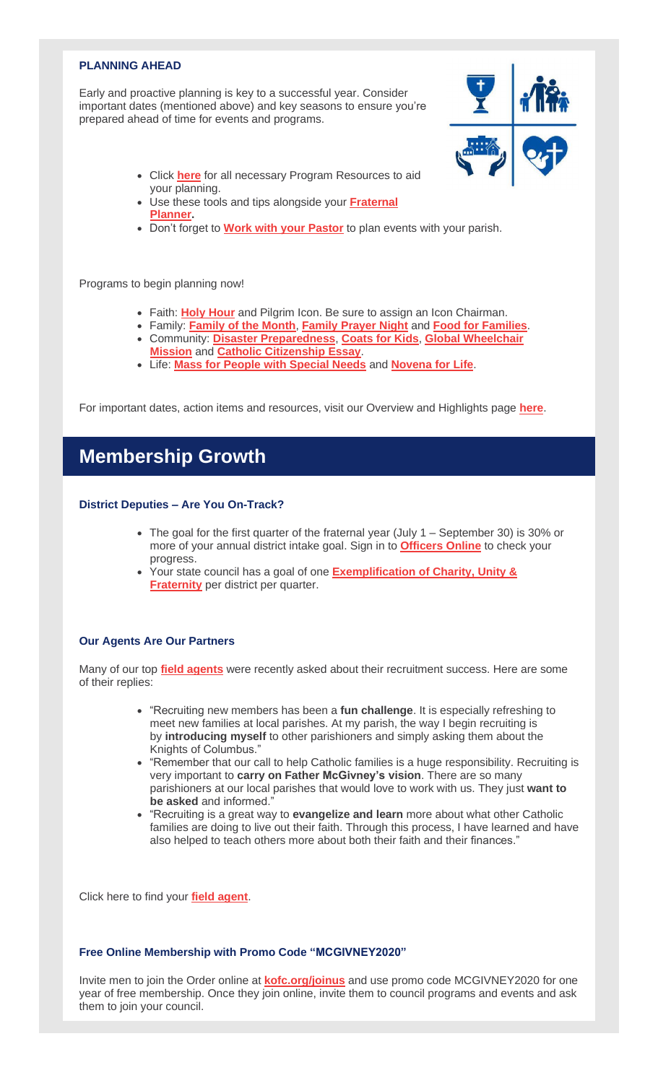## **PLANNING AHEAD**

Early and proactive planning is key to a successful year. Consider important dates (mentioned above) and key seasons to ensure you're prepared ahead of time for events and programs.



- Click **[here](https://r20.rs6.net/tn.jsp?f=001YcihzXkKr4R3Pb79yRD8cfQEmsTnr4P-Jf_OR0B1AJzEz53nd9I_zstW-ixoYvvT99shO4qpdDDFipn88266VQ5aFW9LjaeQ8Y1dWEpq7c0XWANe1bAMjfkk7FTcBhSdofe1WhKqazKCUgBfI4egR_5_7yi-DxP4B45pxYP03PJ9PEstMm0Hwh43pmxpwg8xwuUxkmwEHM9-sxK0eqstjtkoZiSoO_j4_CTIQ-AHq5td1sSo2Ts9eSSJnqIfbNSd6qIITFdptQefCIabgc-N53NBJHE5pJ2vjbxsS8H2dK2Gkwyw4AxKtqPvQ8Ot9ugySQyiYm_TKSIZzxOUC0yHpWhKKTt04-mKFj-WVcH0AFGeYAfjnYz89g==&c=KsBErzZQGDCV07EtfPt3JP5mTqYMqMVSjF7cM7eDl4tbOt8f0-Iw7g==&ch=s_ukVPszYcPqoqbTBQ-xNY6gNA8fls5Au3HCet4EmoFi9zFS5sJROw==)** for all necessary Program Resources to aid your planning.
- Use these tools and tips alongside your **[Fraternal](https://r20.rs6.net/tn.jsp?f=001YcihzXkKr4R3Pb79yRD8cfQEmsTnr4P-Jf_OR0B1AJzEz53nd9I_zvkKU1PqH6GFO2uvXA8UhKiwE4bP9YnuZ_gfGEOGm_qjA1kAJLCvfed8-ZOXZzEEN4JpgSBtbCbZe0KxyuMdcy7_M6ouJCw89_kDh5AdnmxxjjXPm5-stSAhuKlxnUSMh3xu-QaEeFMMrU3Sv-6WymSLLBufdZdAL90PZjYgi04vgms_t_BrgZR4D-otsnrLyyJoD3Qoba3qoCA5dES8ovbxmJPdArAbZ2WDtdgSPmze49cnxiuUFk7QuEaKfLx4mBbcI3ezM5LgV6FwRTuKLqu9Hpboza-c-XODjZ1HuJJMKXMrwRBRako=&c=KsBErzZQGDCV07EtfPt3JP5mTqYMqMVSjF7cM7eDl4tbOt8f0-Iw7g==&ch=s_ukVPszYcPqoqbTBQ-xNY6gNA8fls5Au3HCet4EmoFi9zFS5sJROw==) [Planner.](https://r20.rs6.net/tn.jsp?f=001YcihzXkKr4R3Pb79yRD8cfQEmsTnr4P-Jf_OR0B1AJzEz53nd9I_zvkKU1PqH6GFO2uvXA8UhKiwE4bP9YnuZ_gfGEOGm_qjA1kAJLCvfed8-ZOXZzEEN4JpgSBtbCbZe0KxyuMdcy7_M6ouJCw89_kDh5AdnmxxjjXPm5-stSAhuKlxnUSMh3xu-QaEeFMMrU3Sv-6WymSLLBufdZdAL90PZjYgi04vgms_t_BrgZR4D-otsnrLyyJoD3Qoba3qoCA5dES8ovbxmJPdArAbZ2WDtdgSPmze49cnxiuUFk7QuEaKfLx4mBbcI3ezM5LgV6FwRTuKLqu9Hpboza-c-XODjZ1HuJJMKXMrwRBRako=&c=KsBErzZQGDCV07EtfPt3JP5mTqYMqMVSjF7cM7eDl4tbOt8f0-Iw7g==&ch=s_ukVPszYcPqoqbTBQ-xNY6gNA8fls5Au3HCet4EmoFi9zFS5sJROw==)**
- Don't forget to **Work with your [Pastor](https://r20.rs6.net/tn.jsp?f=001YcihzXkKr4R3Pb79yRD8cfQEmsTnr4P-Jf_OR0B1AJzEz53nd9I_zuNWQomPoQ669FRnGXIeq66zWmkUjgEN0zmot8GxOk2n-9IHhiwrTRpQYi0ZmsZSYZDvoRvwzpvYwMV9PjP9mOQ2txwVCJ4CEahY_gSE5hLaDmDv9Hg8_lLyMqg4qq2mWK64ev3w2t4IyxQ9PrdchJQsWzV6stPeBOGS_dF_yqtAR9maLqwIPHCzoOi0-rqTzSb6XsHbLKSOz-6r0ygI_LlsuBfRyiNtXz4mJA7Gagrb5ihSejImPNqjvR5tJXD0DfkZVE8VEIn5Gdj-kXuDqstPKxCNfVvt7Q==&c=KsBErzZQGDCV07EtfPt3JP5mTqYMqMVSjF7cM7eDl4tbOt8f0-Iw7g==&ch=s_ukVPszYcPqoqbTBQ-xNY6gNA8fls5Au3HCet4EmoFi9zFS5sJROw==)** to plan events with your parish.

Programs to begin planning now!

- Faith: **Holy [Hour](https://r20.rs6.net/tn.jsp?f=001YcihzXkKr4R3Pb79yRD8cfQEmsTnr4P-Jf_OR0B1AJzEz53nd9I_zqQ34MzO8qdrgXCP-q0yBH4tub4QkBfQkyg4hCFprLcDs2wjOnoVgRXglA74GL88bf-DMejXrpQCkH8P7A7r6P7r6AoPjMnKWKjKkMqcjQdN00xbKiGls1vjBxgczOxFTxNpDB02cHUhhw18EFwY1OhWj2ZGigvH6w2THi7oYQguDdk2-vtJ8jwst4Z7HWgdkqtLte8YsDK9Fi47eTC60aTJdRKrzCu4pEGNtVZAZ7qX_4qPT4Z_tt8C3p5gXFJk-2NY4ES7ZGQBGVzuLeUe-h12RsLc4-gUAULCPyMEOeh_&c=KsBErzZQGDCV07EtfPt3JP5mTqYMqMVSjF7cM7eDl4tbOt8f0-Iw7g==&ch=s_ukVPszYcPqoqbTBQ-xNY6gNA8fls5Au3HCet4EmoFi9zFS5sJROw==)** and Pilgrim Icon. Be sure to assign an Icon Chairman.
- Family: **[Family](https://r20.rs6.net/tn.jsp?f=001YcihzXkKr4R3Pb79yRD8cfQEmsTnr4P-Jf_OR0B1AJzEz53nd9I_zoeP7RCOTUPTj1wVUA0hW-HsT9eGshIHHIwrGYjAiQH9IkuT52lW1WBMhpy35DUvY1ShP5XS_9K_umV_kHY3fTrYA3vn1y-MGRgB8XJhkmwNzPhOfrxv2VnaIKZCx8yhghzVVK5A8zF_6aj1t5DJRuoVAJezQdb6dad5h-UkQuDgk4ECu1XABbWMmzkHykZAdq3w3oN23jSCY_e5UZqCpsJOwue2nZHplmCe-60Zj7CR3qSA42K8n08IbtBX0PANvGVuZJrksoddTGFJUqIVuggFGD8HgexxtV6wXyaaLFdJ5MNeOFmb_Tw=&c=KsBErzZQGDCV07EtfPt3JP5mTqYMqMVSjF7cM7eDl4tbOt8f0-Iw7g==&ch=s_ukVPszYcPqoqbTBQ-xNY6gNA8fls5Au3HCet4EmoFi9zFS5sJROw==) of the Month**, **[Family](https://r20.rs6.net/tn.jsp?f=001YcihzXkKr4R3Pb79yRD8cfQEmsTnr4P-Jf_OR0B1AJzEz53nd9I_zoeP7RCOTUPT_QvMNzkaKRCkh1zvQP_ko2EmI2C0eZnQfU3fecVGIAH94zSEWl6W4C8GrD7AvsCrI81UyiMePih99rjLAmjbbnV_D0AoGbqb0-SwK2UJiRCXRQkRCXh3RvZvPo-RzLudjTXTwnkpq8CVV17_uIxxJzZNiPShTbgV4i-y10SFTjTa9FJJxxLNKVMUomN8WKV0SxyfQc1620jke5ZtB2730WtS1s_MComuo8jA3P1Td3BS6YI-oyMWRNB8PU9yL8EDCWxTSY8md6q0G_-HmKTvOkucJ0n_N626vX0tz-3Q7aE=&c=KsBErzZQGDCV07EtfPt3JP5mTqYMqMVSjF7cM7eDl4tbOt8f0-Iw7g==&ch=s_ukVPszYcPqoqbTBQ-xNY6gNA8fls5Au3HCet4EmoFi9zFS5sJROw==) Prayer Night** and **Food for [Families](https://r20.rs6.net/tn.jsp?f=001YcihzXkKr4R3Pb79yRD8cfQEmsTnr4P-Jf_OR0B1AJzEz53nd9I_zlUPMKatf9dNJs8XIEFoMTpl-HSbUv-UkW5mtF2EwDGKtMW-MyLk962OhSEFtAb8AOB5o-l3vUIiP5Pf2KWiiZybdaAK2i1hjgE-g5az2Xi9_AEVZ-SNiKqsKgf4Q3Vpcz9qcWVHKeK6-Z88NElkY26qilEk8TkJIX5CcJxSjUdm-9iRxgoJ5m7pASBM4oHGkIyQFyIhohTBaEjpExdmWB33dBZ27lpPMhBU5HyFRqkeNjt93E87cGxnq-dlc01GV_9qflmE9J1aQKt-N3RKmX2J-Ukw9R9MGtnunUoPKOnsie6lqrX4TLU=&c=KsBErzZQGDCV07EtfPt3JP5mTqYMqMVSjF7cM7eDl4tbOt8f0-Iw7g==&ch=s_ukVPszYcPqoqbTBQ-xNY6gNA8fls5Au3HCet4EmoFi9zFS5sJROw==)**.
- Community: **Disaster [Preparedness](https://r20.rs6.net/tn.jsp?f=001YcihzXkKr4R3Pb79yRD8cfQEmsTnr4P-Jf_OR0B1AJzEz53nd9I_zoeP7RCOTUPTWk2QrJjR7qrRy3yuALcD6-16YJQQVnmjmKEn7QTyDHBBlXFDqSEdeMbWa1H0QbiDd-Wu4V9X5Ws7IIejc4waas1CoHIazGswXfjXELjand3VK-Gk9c0iDNo3b16kmFpkktJgxoZ3fQ3Mk8f1uz3jPbeNcCsOSAPC2YMHPyRHmU91aslTrx7oHkR9cHvT-hOiST7VeVcruozqEmSv3_sSE75TwSQA9eTd6o6PbgWFTfi7KmW-ZnaT5xQciwhWcyg5Wh3ZburgziucrgMRQ8LkxcI7wO574J28xkMNkPVrJd0qSoxpMndjmg==&c=KsBErzZQGDCV07EtfPt3JP5mTqYMqMVSjF7cM7eDl4tbOt8f0-Iw7g==&ch=s_ukVPszYcPqoqbTBQ-xNY6gNA8fls5Au3HCet4EmoFi9zFS5sJROw==)**, **[Coats](https://r20.rs6.net/tn.jsp?f=001YcihzXkKr4R3Pb79yRD8cfQEmsTnr4P-Jf_OR0B1AJzEz53nd9I_zoeP7RCOTUPTr3lhKKe3c_3QTruCHhW_ca51XaIAfk9T2kS6zwDk4wgnO5TEPFTYZgRPKHpKwC4aHs-32XVpmLLtqloxBjS8jwk0fifqQAzG5WHpkG2DpPLz3AYuQb26rMw3SjOMCrrCnlWbb12FVfM0bP5WU9nxyv2JDpvZtw5XfHck1WhzG0KpsAWw2WoKOXuBPctdfE3mJZDmRNTX2iBr6UUbe8x6DSXCylVGRo5BqcmW53aoVBWs4UsbcOWbg9zFjK8LsauK3wUMnIzHDTGxMtNGUuV0i4NUoFJaRKuyVeTa1l-dQvQ=&c=KsBErzZQGDCV07EtfPt3JP5mTqYMqMVSjF7cM7eDl4tbOt8f0-Iw7g==&ch=s_ukVPszYcPqoqbTBQ-xNY6gNA8fls5Au3HCet4EmoFi9zFS5sJROw==) for Kids**, **Global [Wheelchair](https://r20.rs6.net/tn.jsp?f=001YcihzXkKr4R3Pb79yRD8cfQEmsTnr4P-Jf_OR0B1AJzEz53nd9I_zgm8Eqem-LsjMxfeZFj0APQIiIb4WxI7yVciMOpIyBQc2XnsD1WyFZizs4FO2xJE0kUUPaUw2j1o-c9nOOn2Irh3VVaYbI4asTmug3G9__WMzzEkV_TZxEHSlSz7CDG5GJ9wl7phAukdDPonp66o5b8EjM8ZY8TyGn1Kz3sqghZl2b2xUCQUP_iGLWR8NZOAVN55omP-vOp9auq0-NPI8qjzfz-beuLPeydQ_ZRZUOhGdBp1N3ZZvSwa_HuQQxZP2gYGcFTmLCjUneXfCKLJoJjF43e787pwBiykyPYtLD-3lEZUu-_i44uezwThKz7KSpHsErWlAtBZ&c=KsBErzZQGDCV07EtfPt3JP5mTqYMqMVSjF7cM7eDl4tbOt8f0-Iw7g==&ch=s_ukVPszYcPqoqbTBQ-xNY6gNA8fls5Au3HCet4EmoFi9zFS5sJROw==) [Mission](https://r20.rs6.net/tn.jsp?f=001YcihzXkKr4R3Pb79yRD8cfQEmsTnr4P-Jf_OR0B1AJzEz53nd9I_zgm8Eqem-LsjMxfeZFj0APQIiIb4WxI7yVciMOpIyBQc2XnsD1WyFZizs4FO2xJE0kUUPaUw2j1o-c9nOOn2Irh3VVaYbI4asTmug3G9__WMzzEkV_TZxEHSlSz7CDG5GJ9wl7phAukdDPonp66o5b8EjM8ZY8TyGn1Kz3sqghZl2b2xUCQUP_iGLWR8NZOAVN55omP-vOp9auq0-NPI8qjzfz-beuLPeydQ_ZRZUOhGdBp1N3ZZvSwa_HuQQxZP2gYGcFTmLCjUneXfCKLJoJjF43e787pwBiykyPYtLD-3lEZUu-_i44uezwThKz7KSpHsErWlAtBZ&c=KsBErzZQGDCV07EtfPt3JP5mTqYMqMVSjF7cM7eDl4tbOt8f0-Iw7g==&ch=s_ukVPszYcPqoqbTBQ-xNY6gNA8fls5Au3HCet4EmoFi9zFS5sJROw==)** and **Catholic [Citizenship](https://r20.rs6.net/tn.jsp?f=001YcihzXkKr4R3Pb79yRD8cfQEmsTnr4P-Jf_OR0B1AJzEz53nd9I_zuv2ioKERdi6EnzPmIGJItzJ4omByFdmja7TidwrFp8hXtAGJwLFTZm-FdvFxk87NrZQrt3XsP1vJWWqGW-_3KEKdHXSLZXJaHZDrHQ4uZaehkz8F0YrWuj7NsVG5mpLBHkKIjnNjsYK5DtukN-kZ0jFkvrlf7nLi3_CEhN7Gd6KwLbrQiU5ufxM7FGjRU7T_bxdI7rdjW9P506WYXQ24Jnu__O9-V_jgY5CeJlZTz6iYPkUmXlKt_qHgvVUqcG9NsJk8jIruo4ra77yf62ksC0m9vtDFHG05n2oc6-7bkNEOoxAZFQCd_IwwUj7_s8Hwg==&c=KsBErzZQGDCV07EtfPt3JP5mTqYMqMVSjF7cM7eDl4tbOt8f0-Iw7g==&ch=s_ukVPszYcPqoqbTBQ-xNY6gNA8fls5Au3HCet4EmoFi9zFS5sJROw==) Essay**.
- Life: **Mass for People with [Special](https://r20.rs6.net/tn.jsp?f=001YcihzXkKr4R3Pb79yRD8cfQEmsTnr4P-Jf_OR0B1AJzEz53nd9I_zoeP7RCOTUPTDWgGaZzEe0h7n2iQkxmRU2sDzHypDao99rhXQkjZfNuvgdrSmk1vmSNbcLp3ge6xyoC06Py_YjehSLBbebkBOCRZDDwFLGVk4YdVFWFnRyUnQN4PiMMQmDImhfGPLjn7pxrKYJpI97iacagx4anm8MJGcYbdBtBzZK_1yfb2W-nf4U8mUbsJKpuo-DNPEMVWTlEsQWAn4s7uwGTBIJusb3PNEXc4HddDKV4yOuwfSBsxR-9ws11a4dnnj5H_lDFLOzNOwA1m_FmbMrTM_9FazYkKUYKUjkfKHSwPIw9mm8a9BBpLiymnjSX5OcpuX251&c=KsBErzZQGDCV07EtfPt3JP5mTqYMqMVSjF7cM7eDl4tbOt8f0-Iw7g==&ch=s_ukVPszYcPqoqbTBQ-xNY6gNA8fls5Au3HCet4EmoFi9zFS5sJROw==) Needs** and **[Novena](https://r20.rs6.net/tn.jsp?f=001YcihzXkKr4R3Pb79yRD8cfQEmsTnr4P-Jf_OR0B1AJzEz53nd9I_zoeP7RCOTUPTkt6d-Su0EoRMGbbQQHHtq9MftPgRwj-fItG6-EHYh1f-FyBuatecFw-dyTvHSVYgpk1pgqXwo3wcovGj93jv1O6AY_2AZ9ONY2-gxI1tlNWAExF5_W05zYaKLHd2HeNhP02OPmiasBfuoiLvqfHt9wubZBKwsBw1PJiRS7jEax7t6b4A0DqqtmA_DjQmBWceLI0HquiORRqYWDMVnTxV0zECFZ4WOi55CKkq4qrSweAf1oJQwEwFhizcWGAe7yVtwzzYOND3a7JSdcNfiEF9mWwLgvjZsMKB&c=KsBErzZQGDCV07EtfPt3JP5mTqYMqMVSjF7cM7eDl4tbOt8f0-Iw7g==&ch=s_ukVPszYcPqoqbTBQ-xNY6gNA8fls5Au3HCet4EmoFi9zFS5sJROw==) for Life**.

For important dates, action items and resources, visit our Overview and Highlights page **[here](https://r20.rs6.net/tn.jsp?f=001YcihzXkKr4R3Pb79yRD8cfQEmsTnr4P-Jf_OR0B1AJzEz53nd9I_zstW-ixoYvvT99shO4qpdDDFipn88266VQ5aFW9LjaeQ8Y1dWEpq7c0XWANe1bAMjfkk7FTcBhSdofe1WhKqazKCUgBfI4egR_5_7yi-DxP4B45pxYP03PJ9PEstMm0Hwh43pmxpwg8xwuUxkmwEHM9-sxK0eqstjtkoZiSoO_j4_CTIQ-AHq5td1sSo2Ts9eSSJnqIfbNSd6qIITFdptQefCIabgc-N53NBJHE5pJ2vjbxsS8H2dK2Gkwyw4AxKtqPvQ8Ot9ugySQyiYm_TKSIZzxOUC0yHpWhKKTt04-mKFj-WVcH0AFGeYAfjnYz89g==&c=KsBErzZQGDCV07EtfPt3JP5mTqYMqMVSjF7cM7eDl4tbOt8f0-Iw7g==&ch=s_ukVPszYcPqoqbTBQ-xNY6gNA8fls5Au3HCet4EmoFi9zFS5sJROw==)**.

## **Membership Growth**

## **District Deputies – Are You On-Track?**

- The goal for the first quarter of the fraternal year (July 1 September 30) is 30% or more of your annual district intake goal. Sign in to **[Officers](https://r20.rs6.net/tn.jsp?f=001YcihzXkKr4R3Pb79yRD8cfQEmsTnr4P-Jf_OR0B1AJzEz53nd9I_znYjsRCiFPQXThNumrrH61dOgx-yqVbASwwH5HY71zD2IuTBELre7fkhx2a_3iCQYUv2ZT1ykmJdlLqvUV8u5W_mI43Alst5SCmGCdfk3X39yG_Nf6N8lKjE6izmOflKPixdrSw5Af1Pa8P8YMsSOlhTBgTFN3CaeiJsDw3uViI8I9PFEOj6KgnuykQXFeBbcxDIAYuH0anfvBRhpiABu-j0K9isP-LdjH6rfGjBPXIxi9846FfD_XAzgiONjiv-d7Qsy6lxPVaQ&c=KsBErzZQGDCV07EtfPt3JP5mTqYMqMVSjF7cM7eDl4tbOt8f0-Iw7g==&ch=s_ukVPszYcPqoqbTBQ-xNY6gNA8fls5Au3HCet4EmoFi9zFS5sJROw==) Online** to check your progress.
- Your state council has a goal of one **[Exemplification](https://r20.rs6.net/tn.jsp?f=001YcihzXkKr4R3Pb79yRD8cfQEmsTnr4P-Jf_OR0B1AJzEz53nd9I_zhwMcP5J1_0kxrI5LHcMXpN6ON_y4dQG8aLqAGTRS11kjIZNTyBX2_SMG6mJ2XKf50uoy-o56X2bVwOrvbPIDCbhuyhYMrBePSlBq8sSmgHrjP-Y-outUmq28i4O7fNb9wNx0Enr9baPNwsGDw4QakspnSsaBQIVav1Q-bX6FT8ghWZan5-5rIZTuEyDmkzulzFCY2aRYqLxLJYi-C9o2qDq_Ccno73CaNnrAS8b7Wx5C5CTK5bMZMp03rsGqkgNCGlgztrpdlgaj2fHAtK4-Dbs1ciyb_idhOwK6Bfm4wA4&c=KsBErzZQGDCV07EtfPt3JP5mTqYMqMVSjF7cM7eDl4tbOt8f0-Iw7g==&ch=s_ukVPszYcPqoqbTBQ-xNY6gNA8fls5Au3HCet4EmoFi9zFS5sJROw==) of Charity, Unity & [Fraternity](https://r20.rs6.net/tn.jsp?f=001YcihzXkKr4R3Pb79yRD8cfQEmsTnr4P-Jf_OR0B1AJzEz53nd9I_zhwMcP5J1_0kxrI5LHcMXpN6ON_y4dQG8aLqAGTRS11kjIZNTyBX2_SMG6mJ2XKf50uoy-o56X2bVwOrvbPIDCbhuyhYMrBePSlBq8sSmgHrjP-Y-outUmq28i4O7fNb9wNx0Enr9baPNwsGDw4QakspnSsaBQIVav1Q-bX6FT8ghWZan5-5rIZTuEyDmkzulzFCY2aRYqLxLJYi-C9o2qDq_Ccno73CaNnrAS8b7Wx5C5CTK5bMZMp03rsGqkgNCGlgztrpdlgaj2fHAtK4-Dbs1ciyb_idhOwK6Bfm4wA4&c=KsBErzZQGDCV07EtfPt3JP5mTqYMqMVSjF7cM7eDl4tbOt8f0-Iw7g==&ch=s_ukVPszYcPqoqbTBQ-xNY6gNA8fls5Au3HCet4EmoFi9zFS5sJROw==)** per district per quarter.

## **Our Agents Are Our Partners**

Many of our top **field [agents](https://r20.rs6.net/tn.jsp?f=001YcihzXkKr4R3Pb79yRD8cfQEmsTnr4P-Jf_OR0B1AJzEz53nd9I_ztfm4l6XQXP1rFYRWuTrCoJsKVE4hJkw8W3PCuHask6y1a9zcPSRT2NUzIK289P8PamXAtFYUXD0Wd_gaQRrzZFSb3lX_jRlenr6myME2PbD2owyGmyED_PEPR7S225WvBOGXOD9fcD85Xg7r-8WDx1N6YQoj7kswJ4MsA-t1XrB746he38kj7DTLRoB3qOS_K5O9QowZi9zfmkmWyhDS2Bx8IE3xU-irMIRhptkyK9pxFyTvbaTqwOEP6mbnIhNcKf5MKTd-Mwmk_LVZfV_5PM=&c=KsBErzZQGDCV07EtfPt3JP5mTqYMqMVSjF7cM7eDl4tbOt8f0-Iw7g==&ch=s_ukVPszYcPqoqbTBQ-xNY6gNA8fls5Au3HCet4EmoFi9zFS5sJROw==)** were recently asked about their recruitment success. Here are some of their replies:

- "Recruiting new members has been a **fun challenge**. It is especially refreshing to meet new families at local parishes. At my parish, the way I begin recruiting is by **introducing myself** to other parishioners and simply asking them about the Knights of Columbus."
- "Remember that our call to help Catholic families is a huge responsibility. Recruiting is very important to **carry on Father McGivney's vision**. There are so many parishioners at our local parishes that would love to work with us. They just **want to be asked** and informed."
- "Recruiting is a great way to **evangelize and learn** more about what other Catholic families are doing to live out their faith. Through this process, I have learned and have also helped to teach others more about both their faith and their finances."

Click here to find your **field [agent](https://r20.rs6.net/tn.jsp?f=001YcihzXkKr4R3Pb79yRD8cfQEmsTnr4P-Jf_OR0B1AJzEz53nd9I_ztfm4l6XQXP1rFYRWuTrCoJsKVE4hJkw8W3PCuHask6y1a9zcPSRT2NUzIK289P8PamXAtFYUXD0Wd_gaQRrzZFSb3lX_jRlenr6myME2PbD2owyGmyED_PEPR7S225WvBOGXOD9fcD85Xg7r-8WDx1N6YQoj7kswJ4MsA-t1XrB746he38kj7DTLRoB3qOS_K5O9QowZi9zfmkmWyhDS2Bx8IE3xU-irMIRhptkyK9pxFyTvbaTqwOEP6mbnIhNcKf5MKTd-Mwmk_LVZfV_5PM=&c=KsBErzZQGDCV07EtfPt3JP5mTqYMqMVSjF7cM7eDl4tbOt8f0-Iw7g==&ch=s_ukVPszYcPqoqbTBQ-xNY6gNA8fls5Au3HCet4EmoFi9zFS5sJROw==)**.

#### **Free Online Membership with Promo Code "MCGIVNEY2020"**

Invite men to join the Order online at **[kofc.org/joinus](https://r20.rs6.net/tn.jsp?f=001YcihzXkKr4R3Pb79yRD8cfQEmsTnr4P-Jf_OR0B1AJzEz53nd9I_zkT0KCXSojWFe1iHC80J4__SrZ_kYgknI2J-_jE7irHXBshy7ZwdpbZlKNm_x-KqBBDVzvUh0Uf2_kBFXwles0Sh7zNwUfDBDoPgieDTkiXsfuCb83jqvEjdcKYJSl6uyjxuqsgPBvMjTPUmHimyxhdqJzEtASTNmHBKe2aEVRW6mnm84ZiDH133LQ8SBZgLkp3ME0sypBelI_eYuIWB1IrjFBpUIOzSKBsXfz0qjBWTCImnDKLh5iWsOCSQ5X0YPg88y766xjHL&c=KsBErzZQGDCV07EtfPt3JP5mTqYMqMVSjF7cM7eDl4tbOt8f0-Iw7g==&ch=s_ukVPszYcPqoqbTBQ-xNY6gNA8fls5Au3HCet4EmoFi9zFS5sJROw==)** and use promo code MCGIVNEY2020 for one year of free membership. Once they join online, invite them to council programs and events and ask them to join your council.